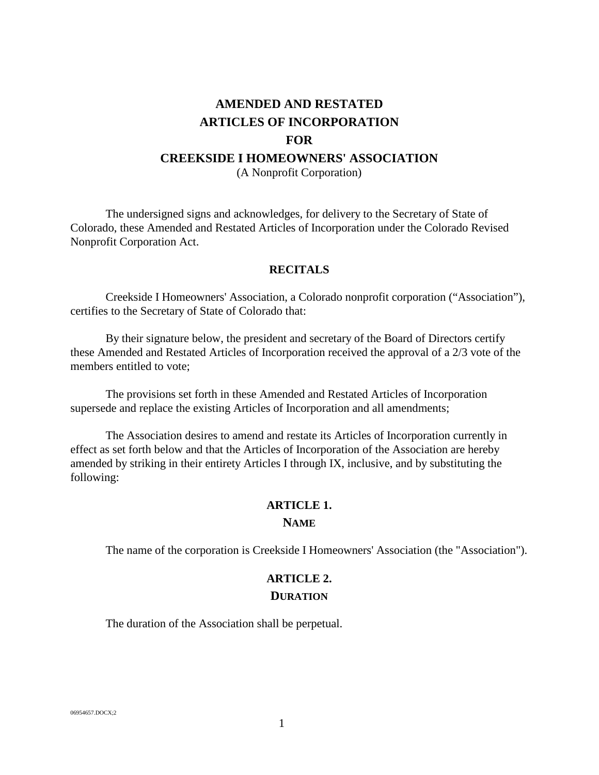# **AMENDED AND RESTATED ARTICLES OF INCORPORATION FOR CREEKSIDE I HOMEOWNERS' ASSOCIATION** (A Nonprofit Corporation)

The undersigned signs and acknowledges, for delivery to the Secretary of State of Colorado, these Amended and Restated Articles of Incorporation under the Colorado Revised Nonprofit Corporation Act.

#### **RECITALS**

Creekside I Homeowners' Association, a Colorado nonprofit corporation ("Association"), certifies to the Secretary of State of Colorado that:

By their signature below, the president and secretary of the Board of Directors certify these Amended and Restated Articles of Incorporation received the approval of a 2/3 vote of the members entitled to vote;

The provisions set forth in these Amended and Restated Articles of Incorporation supersede and replace the existing Articles of Incorporation and all amendments;

The Association desires to amend and restate its Articles of Incorporation currently in effect as set forth below and that the Articles of Incorporation of the Association are hereby amended by striking in their entirety Articles I through IX, inclusive, and by substituting the following:

#### **ARTICLE 1.**

#### **NAME**

The name of the corporation is Creekside I Homeowners' Association (the "Association").

# **ARTICLE 2. DURATION**

The duration of the Association shall be perpetual.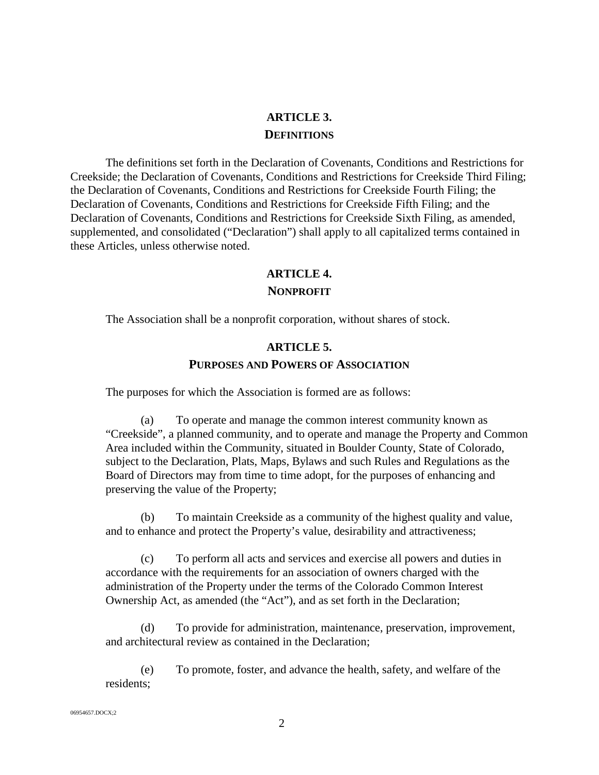## **ARTICLE 3. DEFINITIONS**

The definitions set forth in the Declaration of Covenants, Conditions and Restrictions for Creekside; the Declaration of Covenants, Conditions and Restrictions for Creekside Third Filing; the Declaration of Covenants, Conditions and Restrictions for Creekside Fourth Filing; the Declaration of Covenants, Conditions and Restrictions for Creekside Fifth Filing; and the Declaration of Covenants, Conditions and Restrictions for Creekside Sixth Filing, as amended, supplemented, and consolidated ("Declaration") shall apply to all capitalized terms contained in these Articles, unless otherwise noted.

# **ARTICLE 4.**

#### **NONPROFIT**

The Association shall be a nonprofit corporation, without shares of stock.

## **ARTICLE 5. PURPOSES AND POWERS OF ASSOCIATION**

The purposes for which the Association is formed are as follows:

(a) To operate and manage the common interest community known as "Creekside", a planned community, and to operate and manage the Property and Common Area included within the Community, situated in Boulder County, State of Colorado, subject to the Declaration, Plats, Maps, Bylaws and such Rules and Regulations as the Board of Directors may from time to time adopt, for the purposes of enhancing and preserving the value of the Property;

(b) To maintain Creekside as a community of the highest quality and value, and to enhance and protect the Property's value, desirability and attractiveness;

(c) To perform all acts and services and exercise all powers and duties in accordance with the requirements for an association of owners charged with the administration of the Property under the terms of the Colorado Common Interest Ownership Act, as amended (the "Act"), and as set forth in the Declaration;

(d) To provide for administration, maintenance, preservation, improvement, and architectural review as contained in the Declaration;

(e) To promote, foster, and advance the health, safety, and welfare of the residents;

06954657.DOCX;2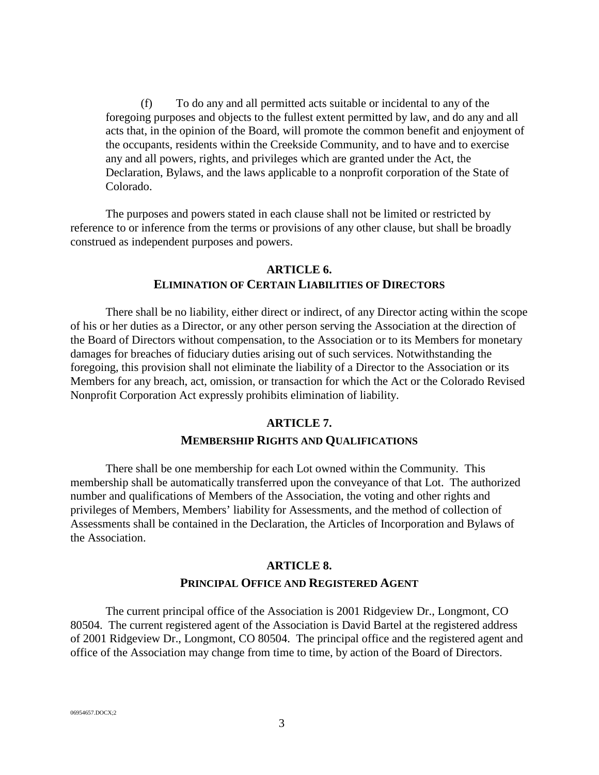(f) To do any and all permitted acts suitable or incidental to any of the foregoing purposes and objects to the fullest extent permitted by law, and do any and all acts that, in the opinion of the Board, will promote the common benefit and enjoyment of the occupants, residents within the Creekside Community, and to have and to exercise any and all powers, rights, and privileges which are granted under the Act, the Declaration, Bylaws, and the laws applicable to a nonprofit corporation of the State of Colorado.

The purposes and powers stated in each clause shall not be limited or restricted by reference to or inference from the terms or provisions of any other clause, but shall be broadly construed as independent purposes and powers.

## **ARTICLE 6. ELIMINATION OF CERTAIN LIABILITIES OF DIRECTORS**

There shall be no liability, either direct or indirect, of any Director acting within the scope of his or her duties as a Director, or any other person serving the Association at the direction of the Board of Directors without compensation, to the Association or to its Members for monetary damages for breaches of fiduciary duties arising out of such services. Notwithstanding the foregoing, this provision shall not eliminate the liability of a Director to the Association or its Members for any breach, act, omission, or transaction for which the Act or the Colorado Revised Nonprofit Corporation Act expressly prohibits elimination of liability.

#### **ARTICLE 7.**

#### **MEMBERSHIP RIGHTS AND QUALIFICATIONS**

There shall be one membership for each Lot owned within the Community. This membership shall be automatically transferred upon the conveyance of that Lot. The authorized number and qualifications of Members of the Association, the voting and other rights and privileges of Members, Members' liability for Assessments, and the method of collection of Assessments shall be contained in the Declaration, the Articles of Incorporation and Bylaws of the Association.

# **ARTICLE 8. PRINCIPAL OFFICE AND REGISTERED AGENT**

The current principal office of the Association is 2001 Ridgeview Dr., Longmont, CO 80504. The current registered agent of the Association is David Bartel at the registered address of 2001 Ridgeview Dr., Longmont, CO 80504. The principal office and the registered agent and office of the Association may change from time to time, by action of the Board of Directors.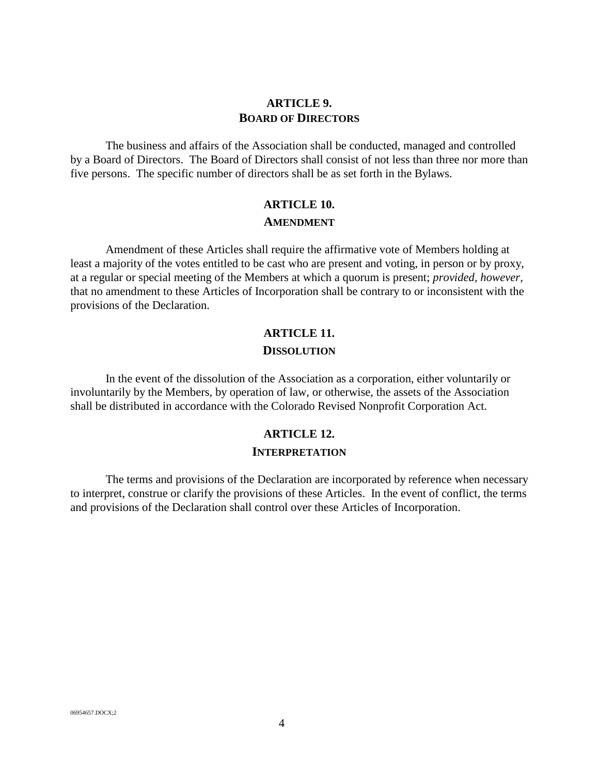## **ARTICLE 9. BOARD OF DIRECTORS**

The business and affairs of the Association shall be conducted, managed and controlled by a Board of Directors. The Board of Directors shall consist of not less than three nor more than five persons. The specific number of directors shall be as set forth in the Bylaws.

## **ARTICLE 10. AMENDMENT**

Amendment of these Articles shall require the affirmative vote of Members holding at least a majority of the votes entitled to be cast who are present and voting, in person or by proxy, at a regular or special meeting of the Members at which a quorum is present; *provided, however,* that no amendment to these Articles of Incorporation shall be contrary to or inconsistent with the provisions of the Declaration.

# **ARTICLE 11.**

**DISSOLUTION**

In the event of the dissolution of the Association as a corporation, either voluntarily or involuntarily by the Members, by operation of law, or otherwise, the assets of the Association shall be distributed in accordance with the Colorado Revised Nonprofit Corporation Act.

# **ARTICLE 12. INTERPRETATION**

The terms and provisions of the Declaration are incorporated by reference when necessary to interpret, construe or clarify the provisions of these Articles. In the event of conflict, the terms and provisions of the Declaration shall control over these Articles of Incorporation.